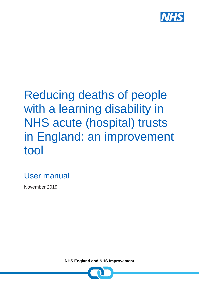

# Reducing deaths of people with a learning disability in NHS acute (hospital) trusts in England: an improvement tool

### User manual

November 2019

**NHS England and NHS Improvement**

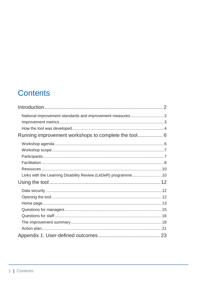### **Contents**

| National improvement standards and improvement measures3       |  |
|----------------------------------------------------------------|--|
|                                                                |  |
|                                                                |  |
|                                                                |  |
|                                                                |  |
|                                                                |  |
|                                                                |  |
|                                                                |  |
|                                                                |  |
| Links with the Learning Disability Review (LeDeR) programme 10 |  |
|                                                                |  |
|                                                                |  |
|                                                                |  |
|                                                                |  |
|                                                                |  |
|                                                                |  |
|                                                                |  |
|                                                                |  |
|                                                                |  |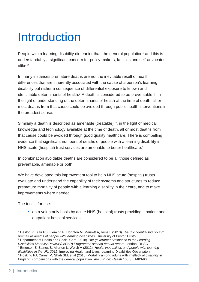# <span id="page-2-0"></span>Introduction

People with a learning disability die earlier than the general population<sup>1</sup> and this is understandably a significant concern for policy-makers, families and self-advocates alike.<sup>2</sup>

In many instances premature deaths are not the inevitable result of health differences that are inherently associated with the cause of a person's learning disability but rather a consequence of differential exposure to known and identifiable determinants of health. $3$  A death is considered to be preventable if, in the light of understanding of the determinants of health at the time of death, all or most deaths from that cause could be avoided through public health interventions in the broadest sense.

Similarly a death is described as amenable (treatable) if, in the light of medical knowledge and technology available at the time of death, all or most deaths from that cause could be avoided through good quality healthcare. There is compelling evidence that significant numbers of deaths of people with a learning disability in NHS acute (hospital) trust services are amenable to better healthcare. 4

In combination avoidable deaths are considered to be all those defined as preventable, amenable or both.

We have developed this improvement tool to help NHS acute (hospital) trusts evaluate and understand the capability of their systems and structures to reduce premature mortality of people with a learning disability in their care, and to make improvements where needed.

The tool is for use:

• on a voluntarily basis by acute NHS (hospital) trusts providing inpatient and outpatient hospital services

<sup>1</sup> Heslop P, Blair PS, Fleming P, Hoghton M, Marriott A, Russ L (2013) *The Confidential Inquiry into premature deaths of people with learning disabilities.* University of Bristol: Bristol. <sup>2</sup> Department of Health and Social Care (2018) *The government response to the Learning Disabilities Mortality Review (LeDeR) Programme second annual report*. London: DHSC <sup>3</sup> Emerson E, Baines S, Allerton L, Welch V (2012). *Health inequalities and people with learning disabilities in the UK: 2012*. Improving Health and Lives: Learning Disabilities Observatory. <sup>4</sup> Hosking FJ, Carey IM, Shah SM, et al (2016) Mortality among adults with intellectual disability in England: comparisons with the general population. *Am J Public Health* 106(8): 1483-90.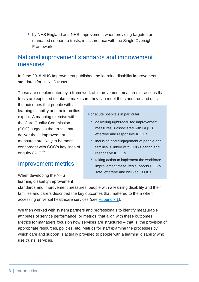• by NHS England and NHS Improvement when providing targeted or mandated support to trusts, in accordance with the Single Oversight Framework.

#### <span id="page-3-0"></span>National improvement standards and improvement measures

In June 2018 NHS Improvement published the learning disability improvement standards for all NHS trusts.

These are supplemented by a framework of improvement measures or actions that trusts are expected to take to make sure they can meet the standards and deliver

the outcomes that people with a learning disability and their families expect. A mapping exercise with the Care Quality Commission (CQC) suggests that trusts that deliver these improvement measures are likely to be more concordant with CQC's key lines of enquiry (KLOE).

#### <span id="page-3-1"></span>Improvement metrics

When developing the NHS learning disability improvement For acute hospitals in particular:

- delivering rights-focused improvement measures is associated with CQC's effective and responsive KLOEs
- inclusion and engagement of people and families is linked with CQC's caring and responsive KLOEs
- taking action to implement the workforce improvement measures supports CQC's safe, effective and well-led KLOEs.

standards and improvement measures, people with a learning disability and their families and carers described the key outcomes that mattered to them when accessing universal healthcare services (see [Appendix 1\)](#page-23-0).

We then worked with system partners and professionals to identify measurable attributes of service performance, or metrics, that align with these outcomes. Metrics for managers focus on how services are structured – that is, the provision of appropriate resources, policies, etc. Metrics for staff examine the processes by which care and support is actually provided to people with a learning disability who use trusts' services.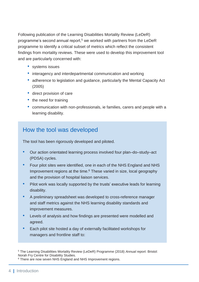Following publication of the Learning Disabilities Mortality Review (LeDeR) programme's second annual report, <sup>5</sup> we worked with partners from the LeDeR programme to identify a critical subset of metrics which reflect the consistent findings from mortality reviews. These were used to develop this improvement tool and are particularly concerned with:

- systems issues
- interagency and interdepartmental communication and working
- adherence to legislation and guidance, particularly the Mental Capacity Act (2005)
- direct provision of care
- the need for training
- communication with non-professionals, ie families, carers and people with a learning disability.

#### <span id="page-4-0"></span>How the tool was developed

The tool has been rigorously developed and piloted.

- Our action orientated learning process involved four plan–do–study–act (PDSA) cycles.
- Four pilot sites were identified, one in each of the NHS England and NHS Improvement regions at the time. <sup>6</sup> These varied in size, local geography and the provision of hospital liaison services.
- Pilot work was locally supported by the trusts' executive leads for learning disability.
- A preliminary spreadsheet was developed to cross-reference manager and staff metrics against the NHS learning disability standards and improvement measures.
- Levels of analysis and how findings are presented were modelled and agreed.
- Each pilot site hosted a day of externally facilitated workshops for managers and frontline staff to:

<sup>5</sup> The Learning Disabilities Mortality Review (LeDeR) Programme (2018) *Annual report*. Bristol: Norah Fry Centre for Disability Studies.

<sup>&</sup>lt;sup>6</sup> There are now seven NHS England and NHS Improvement regions.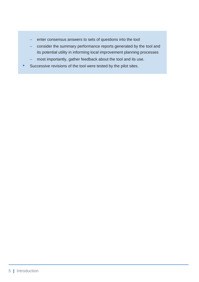- enter consensus answers to sets of questions into the tool
- consider the summary performance reports generated by the tool and its potential utility in informing local improvement planning processes
- most importantly, gather feedback about the tool and its use.
- Successive revisions of the tool were tested by the pilot sites.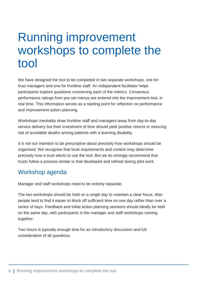## <span id="page-6-0"></span>Running improvement workshops to complete the tool

We have designed the tool to be completed in two separate workshops, one for trust managers and one for frontline staff. An independent facilitator helps participants explore questions concerning each of the metrics. Consensus performance ratings from pre-set menus are entered into the improvement tool, in real time. This information serves as a starting point for reflection on performance and improvement action planning.

Workshops inevitably draw frontline staff and managers away from day-to-day service delivery but their investment of time should yield positive returns in reducing risk of avoidable deaths among patients with a learning disability.

It is not our intention to be prescriptive about precisely how workshops should be organised. We recognise that local requirements and context may determine precisely how a trust elects to use the tool. But we do strongly recommend that trusts follow a process similar to that developed and refined during pilot work.

#### <span id="page-6-1"></span>Workshop agenda

Manager and staff workshops need to be entirely separate.

The two workshops should be held on a single day to maintain a clear focus. Also people tend to find it easier to block off sufficient time on one day rather than over a series of days. Feedback and initial action planning sessions should ideally be held on the same day, with participants in the manager and staff workshops coming together.

Two hours is typically enough time for an introductory discussion and full consideration of all questions.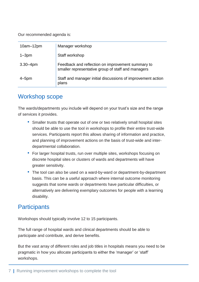Our recommended agenda is:

| $10am-12pm$  | Manager workshop                                                                                        |
|--------------|---------------------------------------------------------------------------------------------------------|
| $1 - 3pm$    | Staff workshop                                                                                          |
| $3.30 - 4pm$ | Feedback and reflection on improvement summary to<br>smaller representative group of staff and managers |
| $4 - 5pm$    | Staff and manager initial discussions of improvement action<br>plans                                    |

#### <span id="page-7-0"></span>Workshop scope

The wards/departments you include will depend on your trust's size and the range of services it provides.

- Smaller trusts that operate out of one or two relatively small hospital sites should be able to use the tool in workshops to profile their entire trust-wide services. Participants report this allows sharing of information and practice, and planning of improvement actions on the basis of trust-wide and interdepartmental collaboration.
- For larger hospital trusts, run over multiple sites, workshops focusing on discrete hospital sites or clusters of wards and departments will have greater sensitivity.
- The tool can also be used on a ward-by-ward or department-by-department basis. This can be a useful approach where internal outcome monitoring suggests that some wards or departments have particular difficulties, or alternatively are delivering exemplary outcomes for people with a learning disability.

#### <span id="page-7-1"></span>**Participants**

Workshops should typically involve 12 to 15 participants.

The full range of hospital wards and clinical departments should be able to participate and contribute, and derive benefits.

But the vast array of different roles and job titles in hospitals means you need to be pragmatic in how you allocate participants to either the 'manager' or 'staff' workshops.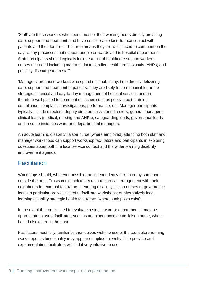'Staff' are those workers who spend most of their working hours directly providing care, support and treatment; and have considerable face-to-face contact with patients and their families. Their role means they are well placed to comment on the day-to-day processes that support people on wards and in hospital departments. Staff participants should typically include a mix of healthcare support workers, nurses up to and including matrons, doctors, allied health professionals (AHPs) and possibly discharge team staff.

'Managers' are those workers who spend minimal, if any, time directly delivering care, support and treatment to patients. They are likely to be responsible for the strategic, financial and day-to-day management of hospital services and are therefore well placed to comment on issues such as policy, audit, training compliance, complaints investigations, performance, etc. Manager participants typically include directors, deputy directors, assistant directors, general managers, clinical leads (medical, nursing and AHPs), safeguarding leads, governance leads and in some instances ward and departmental managers.

An acute learning disability liaison nurse (where employed) attending both staff and manager workshops can support workshop facilitators and participants in exploring questions about both the local service context and the wider learning disability improvement agenda.

#### <span id="page-8-0"></span>**Facilitation**

Workshops should, wherever possible, be independently facilitated by someone outside the trust. Trusts could look to set up a reciprocal arrangement with their neighbours for external facilitators. Learning disability liaison nurses or governance leads in particular are well suited to facilitate workshops; or alternatively local learning disability strategic health facilitators (where such posts exist).

In the event the tool is used to evaluate a single ward or department, it may be appropriate to use a facilitator, such as an experienced acute liaison nurse, who is based elsewhere in the trust.

Facilitators must fully familiarise themselves with the use of the tool before running workshops. Its functionality may appear complex but with a little practice and experimentation facilitators will find it very intuitive to use.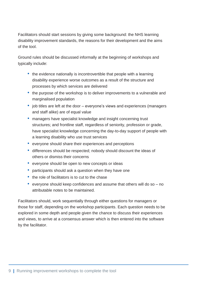Facilitators should start sessions by giving some background: the NHS learning disability improvement standards, the reasons for their development and the aims of the tool.

Ground rules should be discussed informally at the beginning of workshops and typically include:

- the evidence nationally is incontrovertible that people with a learning disability experience worse outcomes as a result of the structure and processes by which services are delivered
- the purpose of the workshop is to deliver improvements to a vulnerable and marginalised population
- job titles are left at the door everyone's views and experiences (managers and staff alike) are of equal value
- managers have specialist knowledge and insight concerning trust structures; and frontline staff, regardless of seniority, profession or grade, have specialist knowledge concerning the day-to-day support of people with a learning disability who use trust services
- everyone should share their experiences and perceptions
- differences should be respected; nobody should discount the ideas of others or dismiss their concerns
- everyone should be open to new concepts or ideas
- participants should ask a question when they have one
- the role of facilitators is to cut to the chase
- everyone should keep confidences and assume that others will do so no attributable notes to be maintained.

Facilitators should, work sequentially through either questions for managers or those for staff, depending on the workshop participants. Each question needs to be explored in some depth and people given the chance to discuss their experiences and views, to arrive at a consensus answer which is then entered into the software by the facilitator.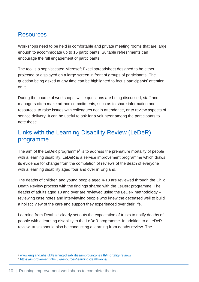#### <span id="page-10-0"></span>**Resources**

Workshops need to be held in comfortable and private meeting rooms that are large enough to accommodate up to 15 participants. Suitable refreshments can encourage the full engagement of participants!

The tool is a sophisticated Microsoft Excel spreadsheet designed to be either projected or displayed on a large screen in front of groups of participants. The question being asked at any time can be highlighted to focus participants' attention on it.

During the course of workshops, while questions are being discussed, staff and managers often make ad-hoc commitments, such as to share information and resources, to raise issues with colleagues not in attendance, or to review aspects of service delivery. It can be useful to ask for a volunteer among the participants to note these.

### <span id="page-10-1"></span>Links with the Learning Disability Review (LeDeR) programme

The aim of the LeDeR programme<sup>7</sup> is to address the premature mortality of people with a learning disability. LeDeR is a service improvement programme which draws its evidence for change from the completion of reviews of the death of everyone with a learning disability aged four and over in England.

The deaths of children and young people aged 4-18 are reviewed through the Child Death Review process with the findings shared with the LeDeR programme. The deaths of adults aged 18 and over are reviewed using the LeDeR methodology – reviewing case notes and interviewing people who knew the deceased well to build a holistic view of the care and support they experienced over their life.

Learning from Deaths <sup>8</sup> clearly set outs the expectation of trusts to notify deaths of people with a learning disability to the LeDeR programme. In addition to a LeDeR review, trusts should also be conducting a learning from deaths review. The

<sup>7</sup> [www.england.nhs.uk/learning-disabilities/improving-health/mortality-review/](https://www.england.nhs.uk/learning-disabilities/improving-health/mortality-review/)

<sup>8</sup> <https://improvement.nhs.uk/resources/learning-deaths-nhs/>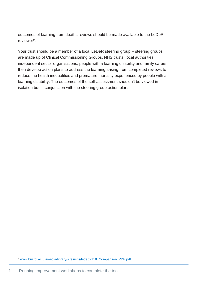outcomes of learning from deaths reviews should be made available to the LeDeR reviewer<sup>9</sup>.

Your trust should be a member of a local LeDeR steering group – steering groups are made up of Clinical Commissioning Groups, NHS trusts, local authorities, independent sector organisations, people with a learning disability and family carers then develop action plans to address the learning arising from completed reviews to reduce the health inequalities and premature mortality experienced by people with a learning disability. The outcomes of the self-assessment shouldn't be viewed in isolation but in conjunction with the steering group action plan.

<sup>9</sup> [www.bristol.ac.uk/media-library/sites/sps/leder/2118\\_Comparison\\_PDF.pdf](http://www.bristol.ac.uk/media-library/sites/sps/leder/2118_Comparison_PDF.pdf)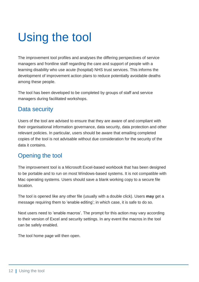# <span id="page-12-0"></span>Using the tool

The improvement tool profiles and analyses the differing perspectives of service managers and frontline staff regarding the care and support of people with a learning disability who use acute (hospital) NHS trust services. This informs the development of improvement action plans to reduce potentially avoidable deaths among these people.

The tool has been developed to be completed by groups of staff and service managers during facilitated workshops.

#### <span id="page-12-1"></span>Data security

Users of the tool are advised to ensure that they are aware of and compliant with their organisational information governance, data security, data protection and other relevant policies. In particular, users should be aware that emailing completed copies of the tool is not advisable without due consideration for the security of the data it contains.

#### <span id="page-12-2"></span>Opening the tool

The improvement tool is a Microsoft Excel-based workbook that has been designed to be portable and to run on most Windows-based systems. It is not compatible with Mac operating systems. Users should save a blank working copy to a secure file location.

The tool is opened like any other file (usually with a double click). Users **may** get a message requiring them to 'enable editing'; in which case, it is safe to do so.

Next users need to 'enable macros'. The prompt for this action may vary according to their version of Excel and security settings. In any event the macros in the tool can be safely enabled.

The tool home page will then open.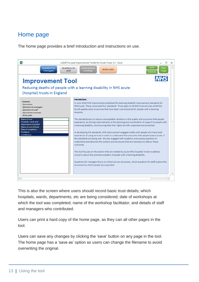#### <span id="page-13-0"></span>Home page

The home page provides a brief introduction and instructions on use.



This is also the screen where users should record basic trust details; which hospitals, wards, departments, etc are being considered; date of workshops at which the tool was completed; name of the workshop facilitator; and details of staff and managers who contributed.

Users can print a hard copy of the home page, as they can all other pages in the tool.

Users can save any changes by clicking the 'save' button on any page in the tool. The home page has a 'save as' option so users can change the filename to avoid overwriting the original.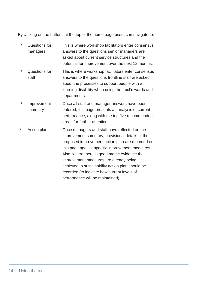By clicking on the buttons at the top of the home page users can navigate to:

- Questions for managers This is where workshop facilitators enter consensus answers to the questions senior managers are asked about current service structures and the potential for improvement over the next 12 months.
- Questions for staff This is where workshop facilitators enter consensus answers to the questions frontline staff are asked about the processes to support people with a learning disability when using the trust's wards and departments.
- **Improvement** summary Once all staff and manager answers have been entered, this page presents an analysis of current performance, along with the top five recommended areas for further attention.
- Action plan **Once managers and staff have reflected on the** improvement summary, provisional details of the proposed improvement action plan are recorded on this page against specific improvement measures. Also, where there is good metric evidence that improvement measures are already being achieved, a sustainability action plan should be recorded (to indicate how current levels of performance will be maintained).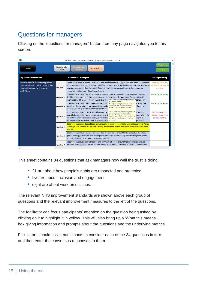### <span id="page-15-0"></span>Questions for managers

Clicking on the 'questions for managers' button from any page navigates you to this screen.

| x∎<br>LeDeR Focused Improvement Toolkit for Acute Trusts 2 - screenshots - Excel                                                      |                                                                 |                                                                                                                                                                                                                                                                                                                                                                                                                                                |                                                              |
|---------------------------------------------------------------------------------------------------------------------------------------|-----------------------------------------------------------------|------------------------------------------------------------------------------------------------------------------------------------------------------------------------------------------------------------------------------------------------------------------------------------------------------------------------------------------------------------------------------------------------------------------------------------------------|--------------------------------------------------------------|
| Home                                                                                                                                  | Questions for<br>Improvement<br>Action plan<br>staff<br>summary |                                                                                                                                                                                                                                                                                                                                                                                                                                                | Print page<br>Save                                           |
| <b>Improvement measures</b>                                                                                                           |                                                                 | <b>Questions for managers</b>                                                                                                                                                                                                                                                                                                                                                                                                                  | <b>Manager rating</b>                                        |
| Trusts must have measures in place to<br>promote anti discriminatory practice in<br>relation to people with learning<br>disabilities. | <b>Question 1</b>                                               | Does your trust have systems in place to ensure that senior managers hear about the experiences<br>of patients with learning disabilities and their families, who use your services; and if so, can these but will in the next 12<br>be disaggregated, so that the views of patients with learning disabilities can be considered<br>separately, and compared to other patients.                                                               | Not fully achieved,<br>months.                               |
|                                                                                                                                       | <b>Question 2</b>                                               | Does your trust monitor the 'clinical outcomes' of services delivered to patients with learning<br>disabilities in a way that allows data about service use to be disaggregated for patients with<br>learning disabilities, so that any inequalities in sension use can be identified and addressed?<br>What this means                                                                                                                        | Currently achieving.                                         |
|                                                                                                                                       | <b>Question 3</b>                                               | Does your trust monitor numbers of patients with<br>ists and the<br>Having a really good MCA policy is<br>important but do you undertake<br>lengths of their waits, so that comparisons can be<br>there are<br>audits to check staff follow it?<br>concerns, do you proactively report these to serve                                                                                                                                          | Currently achieving.                                         |
|                                                                                                                                       | <b>Question 4</b>                                               | This would include gaining consent;<br>rerything<br>Does your trust have a robust Mental Capacity Ad<br>assessing capacity if placed in<br>possible to support patients to make their own de<br>tment. And, if a<br>question; and following / recording<br>patient has been assessed as lacking capacity to n<br>he policy<br>any best interest decision making<br>processes.<br>outline how the decision is to be made in accorda<br>process? | Not achieving and<br>unlikely to do so in<br>next 12 months. |
|                                                                                                                                       | <b>Question 5</b>                                               | Does your trust undertake at least annual audits of compliance with its Mental Capacity Act Policy<br>so that you can understand how effectively it is being followed; and make improvements where<br>needed?                                                                                                                                                                                                                                  |                                                              |
|                                                                                                                                       | <b>Question 6</b>                                               | Does your trust have a clear policy (based on the principles of the Mental Capacity Act), which<br>guides and supports staff when making decisions about withdrawing life sustaining treatments,<br>or not to attempt cardio-pulmonary resuscitation?                                                                                                                                                                                          |                                                              |
|                                                                                                                                       | <b>Question 7</b>                                               | Does your trust audit clinical records and communications to ensure that information about a<br>patient's learning disability and the reasonable adjustments they need is shared both within the                                                                                                                                                                                                                                               |                                                              |
|                                                                                                                                       |                                                                 |                                                                                                                                                                                                                                                                                                                                                                                                                                                | b.                                                           |

This sheet contains 34 questions that ask managers how well the trust is doing:

- 21 are about how people's rights are respected and protected
- five are about inclusion and engagement
- eight are about workforce issues.

The relevant NHS improvement standards are shown above each group of questions and the relevant improvement measures to the left of the questions.

The facilitator can focus participants' attention on the question being asked by clicking on it to highlight it in yellow. This will also bring up a 'What this means…' box giving information and prompts about the questions and the underlying metrics.

Facilitators should assist participants to consider each of the 34 questions in turn and then enter the consensus responses to them.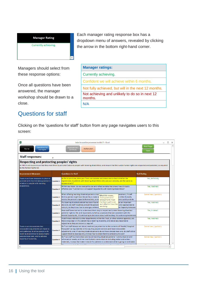#### **Manager Rating**

Currently achieving.

Each manager rating response box has a dropdown menu of answers, revealed by clicking the arrow in the bottom right-hand corner.

Managers should select from these response options:

Once all questions have been answered, the manager workshop should be drawn to a close.

#### <span id="page-16-0"></span>Questions for staff

| <b>Manager ratings:</b>                                   |
|-----------------------------------------------------------|
| Currently achieving.                                      |
| Confident we will achieve within 6 months.                |
| Not fully achieved, but will in the next 12 months.       |
| Not achieving and unlikely to do so in next 12<br>months. |
| N/A                                                       |

Clicking on the 'questions for staff' button from any page navigates users to this screen:

| Χ<br>leder focused improvement toolkit 21 - Excel                                                                                                                                                                                                                                                                                                                                                                                                                                                                                           |                   |                                                                                                                                                                                                                                                                                           |                       |                          |
|---------------------------------------------------------------------------------------------------------------------------------------------------------------------------------------------------------------------------------------------------------------------------------------------------------------------------------------------------------------------------------------------------------------------------------------------------------------------------------------------------------------------------------------------|-------------------|-------------------------------------------------------------------------------------------------------------------------------------------------------------------------------------------------------------------------------------------------------------------------------------------|-----------------------|--------------------------|
| Questions for<br>Home<br>managers                                                                                                                                                                                                                                                                                                                                                                                                                                                                                                           |                   | Improvement<br>Action plan<br>summary                                                                                                                                                                                                                                                     | Print Page<br>Save    |                          |
| <b>Staff responses:</b>                                                                                                                                                                                                                                                                                                                                                                                                                                                                                                                     | ×                 |                                                                                                                                                                                                                                                                                           |                       |                          |
| Respecting and protecting peoples' rights<br>All NHS trusts must ensure that they meet their Equality Act Duties to people with learning disabilities; and ensure that their wider human rights are respected and protected, as required<br>by the Human Rights Act.                                                                                                                                                                                                                                                                        |                   |                                                                                                                                                                                                                                                                                           |                       |                          |
| <b>Improvement Measures</b>                                                                                                                                                                                                                                                                                                                                                                                                                                                                                                                 |                   | <b>Questions for Staff</b>                                                                                                                                                                                                                                                                | <b>Staff Rating</b>   |                          |
| Trusts must have measures in place to<br>promote anti discriminatory practice in<br>relation to people with learning                                                                                                                                                                                                                                                                                                                                                                                                                        | <b>Question 1</b> | As far as you know, does your Trust use systems and measures to check whether the<br>experiences of patients with learning disabilities who use your services, are the same as<br>anyone else's?                                                                                          | Yes, definitely       |                          |
| disabilities.                                                                                                                                                                                                                                                                                                                                                                                                                                                                                                                               | <b>Question 2</b> | Within your team, do you ever get to see and reflect on data that shows how clinically<br>effective your Trust/service is at supporting patients with learning disabilities?                                                                                                              | Yes, routinely        |                          |
|                                                                                                                                                                                                                                                                                                                                                                                                                                                                                                                                             | <b>Question 3</b> | When offering learning disabled patients choi(<br>reatment, if staff<br>What this means<br>think a patient might lack the ability to make a<br>o either formally<br>Good governance<br>assess the person's capacity themselves; or arr<br>ome quickly and do<br>arrangements mean         | Sometimes / partially |                          |
|                                                                                                                                                                                                                                                                                                                                                                                                                                                                                                                                             | <b>Question 4</b> | that teams get to see<br>If a learning disabled patient has been found<br>ke an important<br>and reflect on how they<br>decision, do staff: routinely consult the person<br>one appropriate to<br>are doing.<br>consult, do they know how to arrange a referra<br>tal Capacity Advocate   | Yes, routinely        |                          |
|                                                                                                                                                                                                                                                                                                                                                                                                                                                                                                                                             | <b>Question 5</b> | Have staff been trained to understand their duty to respect and protect learning disabled<br>patients' right to life; and importantly, to follow processes that are consistent with the<br>Mental Capacity Act, if contributing to decisions about withholding life sustaining treatments | Yes, in detail        |                          |
|                                                                                                                                                                                                                                                                                                                                                                                                                                                                                                                                             | <b>Question 6</b> | If staff make referrals to other departments within the Trust, or other external agencies, are<br>they always explicit if a patient has a learning disability, and about any reasonable<br>adjustments they are known to require?                                                         | Yes, routinely        |                          |
| Do Trust staff always ask about, read and pay attention to the contents of 'Health/ Hospital<br>Trusts must demonstrate that<br>Passports' (or equivalent) in the way they provide services and make reasonable<br>reasonable adjustments are made to<br><b>Question 7</b><br>care pathways, to allow people with<br>adjustments; and, if learning disabled patients do not have already have one, do staff either<br>learning disabilities to access highly<br>support them to develop one, or know how to direct them to someone who can? |                   |                                                                                                                                                                                                                                                                                           | Sometimes / partially |                          |
| personalised care, and to achieve<br>equality of outcomes.                                                                                                                                                                                                                                                                                                                                                                                                                                                                                  | <b>Question 8</b> | Do Trust staff routinely check and record learning disabled patients' 'communication and<br>information' needs; and then modify their communication including verbal and written<br>materials, in ways that make it easier for patients to understand what is going on and make           | Sometimes / partially | $\overline{\phantom{a}}$ |
|                                                                                                                                                                                                                                                                                                                                                                                                                                                                                                                                             |                   |                                                                                                                                                                                                                                                                                           |                       | $\mathbf b$              |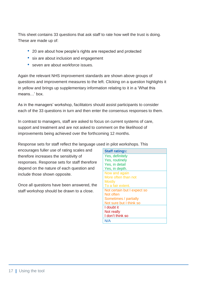This sheet contains 33 questions that ask staff to rate how well the trust is doing. These are made up of:

- 20 are about how people's rights are respected and protected
- six are about inclusion and engagement
- seven are about workforce issues.

Again the relevant NHS improvement standards are shown above groups of questions and improvement measures to the left. Clicking on a question highlights it in yellow and brings up supplementary information relating to it in a 'What this means…' box.

As in the managers' workshop, facilitators should assist participants to consider each of the 33 questions in turn and then enter the consensus responses to them.

In contrast to managers, staff are asked to focus on current systems of care, support and treatment and are not asked to comment on the likelihood of improvements being achieved over the forthcoming 12 months.

Response sets for staff reflect the language used in pilot workshops. This

encourages fuller use of rating scales and therefore increases the sensitivity of responses. Response sets for staff therefore depend on the nature of each question and include those shown opposite.

Once all questions have been answered, the staff workshop should be drawn to a close.

| <b>Staff ratings:</b>       |
|-----------------------------|
| Yes, definitely             |
| Yes, routinely              |
| Yes, in detail              |
| Yes, in depth.              |
| Now and again               |
| More often than not         |
| <b>Mostly</b>               |
| To a fair extent.           |
| Not certain but I expect so |
| Not often                   |
| Sometimes / partially       |
| Not sure but I think so     |
| I doubt it                  |
| Not really                  |
| I don't think so            |
| N/A                         |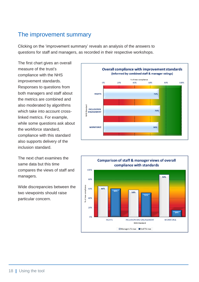#### <span id="page-18-0"></span>The improvement summary

Clicking on the 'improvement summary' reveals an analysis of the answers to questions for staff and managers, as recorded in their respective workshops.

The first chart gives an overall measure of the trust's compliance with the NHS improvement standards. Responses to questions from both managers and staff about the metrics are combined and also moderated by algorithms which take into account crosslinked metrics. For example, while some questions ask about the workforce standard, compliance with this standard also supports delivery of the inclusion standard.

The next chart examines the same data but this time compares the views of staff and managers.

Wide discrepancies between the two viewpoints should raise particular concern.



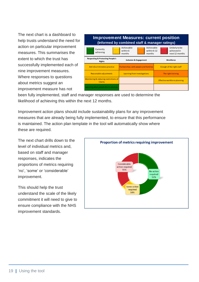The next chart is a dashboard to help trusts understand the need for action on particular improvement measures. This summarises the extent to which the trust has successfully implemented each of nine improvement measures. Where responses to questions about metrics suggest an improvement measure has not



been fully implemented, staff and manager responses are used to determine the likelihood of achieving this within the next 12 months.

Improvement action plans should include sustainability plans for any improvement measures that are already being fully implemented, to ensure that this performance is maintained. The action plan template in the tool will automatically show where these are required.

The next chart drills down to the level of individual metrics and, based on staff and manager responses, indicates the proportions of metrics requiring 'no', 'some' or 'considerable' improvement.

This should help the trust understand the scale of the likely commitment it will need to give to ensure compliance with the NHS improvement standards.

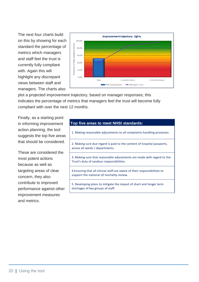The next four charts build on this by showing for each standard the percentage of metrics which managers and staff feel the trust is currently fully compliant with. Again this will highlight any discrepant views between staff and managers. The charts also



plot a projected improvement trajectory, based on manager responses; this indicates the percentage of metrics that managers feel the trust will become fully compliant with over the next 12 months.

Finally, as a starting point in informing improvement action planning, the tool suggests the top five areas that should be considered.

These are considered the most potent actions because as well as targeting areas of clear concern, they also contribute to improved performance against other improvement measures and metrics.

#### **Top five areas to meet NHSI standards:**

1. Making reasonable adjustments to all complaints handling processes.

2. Making sure due regard is paid to the content of hospital passports, across all wards / departments.

3. Making sure that reasonable adjustments are made with regard to the Trust's duty of candour responsibilities.

4.Ensuring that all clinical staff are aware of their responsibilities to support the national LD mortality review.

5. Developing plans to mitigate the impact of short and longer term shortages of key groups of staff.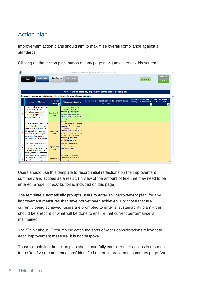### <span id="page-21-0"></span>Action plan

Improvement action plans should aim to maximise overall compliance against all standards.

Clicking on the 'action plan' button on any page navigates users to this screen:

| ×              | LeDeR Focused Improvement Toolkit for Acute Trusts 3.3 - Excel<br>п<br>$\times$                                                                                                                                      |                               |                                                                                                                                                                                                                           |                                                                       |                                                                                                         |                    |
|----------------|----------------------------------------------------------------------------------------------------------------------------------------------------------------------------------------------------------------------|-------------------------------|---------------------------------------------------------------------------------------------------------------------------------------------------------------------------------------------------------------------------|-----------------------------------------------------------------------|---------------------------------------------------------------------------------------------------------|--------------------|
|                | Questions for<br>Home<br>managers                                                                                                                                                                                    | Questions for<br>staff        | <b>Improvement</b><br>summary                                                                                                                                                                                             |                                                                       | Spell check                                                                                             | Print page<br>Save |
|                | NHSI learning disability improvement standards: action plan                                                                                                                                                          |                               |                                                                                                                                                                                                                           |                                                                       |                                                                                                         |                    |
|                | Complete the columns below by inserting relevant information concerning your action plan.                                                                                                                            |                               |                                                                                                                                                                                                                           |                                                                       |                                                                                                         |                    |
|                | <b>Improvement Measure</b>                                                                                                                                                                                           | <b>Type of plan</b><br>needed | Think about things like                                                                                                                                                                                                   | What needs to be done to achieve the standard / sustain<br>adherence? | Who will be responsible for When does it need to<br>making sure it happens?<br>$\overline{\phantom{a}}$ | be done by?        |
| R1             | Trusts must have measures in<br>place to promote anti<br>discriminatory practice in<br>relation to people with<br>learning disabilities.                                                                             | Sustainability<br>plan        | How the Mental Capacity Act<br>is applied; outcomes<br>monitoring; waiting list<br>management; reasonable<br>adjustments; and access to<br>learning disabilities<br>specialists.                                          |                                                                       |                                                                                                         |                    |
| R <sub>2</sub> | Trusts must demonstrate that<br>reasonable adjustments are<br>made to care pathways, to<br>allow people with learning<br>disabilities to access highly<br>personalised care, and to<br>achieve equality of outcomes. | Improvement<br>plan           | The use of health passports;<br>meeting information and<br>communication needs:<br>adapted assessments; care<br>coordination; environmental<br>modifications; outcomes<br>monitoring; access to<br>specialists; training. |                                                                       |                                                                                                         |                    |
|                | Trusts must demonstrate that<br>they vigilantly monitor any<br>R3 restrictions or deprivations of<br>liberty associated with the<br>delivery of care and treatment.                                                  | Improvement<br>plan           | Policies; training; user<br>involvement; governance; and<br>data driven practice.                                                                                                                                         |                                                                       |                                                                                                         |                    |
|                | Trusts must have processes to<br>investigate and learn lessons<br>R5 if people with learning                                                                                                                         | Improvement                   | <b>Engagement with LeDeR</b><br>programme; governance<br>structures: data analysis: and                                                                                                                                   |                                                                       |                                                                                                         | ≂<br>Þ.            |

Users should use this template to record initial reflections on the improvement summary and actions as a result. (In view of the amount of text that may need to be entered, a 'spell check' button is included on this page).

The template automatically prompts users to enter an 'improvement plan' for any improvement measures that have not yet been achieved. For those that are currently being achieved, users are prompted to enter a 'sustainability plan' – this should be a record of what will be done to ensure that current performance is maintained.

The 'Think about…' column indicates the sorts of wider considerations relevant to each improvement measure; it is not bespoke.

Those completing the action plan should carefully consider their actions in response to the 'top five recommendations' identified on the improvement summary page. We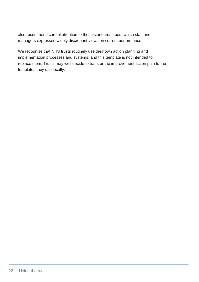also recommend careful attention to those standards about which staff and managers expressed widely discrepant views on current performance.

We recognise that NHS trusts routinely use their own action planning and implementation processes and systems, and this template is not intended to replace them. Trusts may well decide to transfer the improvement action plan to the templates they use locally.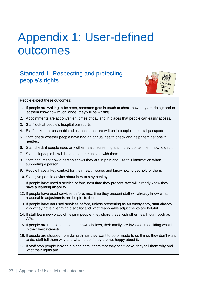# <span id="page-23-0"></span>Appendix 1: User-defined outcomes

### Standard 1: Respecting and protecting people's rights



People expect these outcomes:

- 1. If people are waiting to be seen, someone gets in touch to check how they are doing; and to let them know how much longer they will be waiting.
- 2. Appointments are at convenient times of day and in places that people can easily access.
- 3. Staff look at people's hospital passports.
- 4. Staff make the reasonable adjustments that are written in people's hospital passports.
- 5. Staff check whether people have had an annual health check and help them get one if needed.
- 6. Staff check if people need any other health screening and if they do, tell them how to get it.
- 7. Staff ask people how it is best to communicate with them.
- 8. Staff document how a person shows they are in pain and use this information when supporting a person.
- 9. People have a key contact for their health issues and know how to get hold of them.
- 10. Staff give people advice about how to stay healthy.
- 11. If people have used a service before, next time they present staff will already know they have a learning disability.
- 12. If people have used services before, next time they present staff will already know what reasonable adjustments are helpful to them.
- 13. If people have not used services before, unless presenting as an emergency, staff already know they have a learning disability and what reasonable adjustments are helpful.
- 14. If staff learn new ways of helping people, they share these with other health staff such as GPs.
- 15. If people are unable to make their own choices, their family are involved in deciding what is in their best interests.
- 16. If people are stopped from doing things they want to do or made to do things they don't want to do, staff tell them why and what to do if they are not happy about it.
- 17. If staff stop people leaving a place or tell them that they can't leave, they tell them why and what their rights are.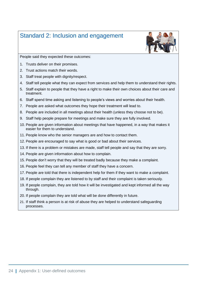#### Standard 2: Inclusion and engagement



People said they expected these outcomes:

- 1. Trusts deliver on their promises.
- 2. Trust actions match their words.
- 3. Staff treat people with dignity/respect.
- 4. Staff tell people what they can expect from services and help them to understand their rights.
- 5. Staff explain to people that they have a right to make their own choices about their care and treatment.
- 6. Staff spend time asking and listening to people's views and worries about their health.
- 7. People are asked what outcomes they hope their treatment will lead to.
- 8. People are included in all meetings about their health (unless they choose not to be).
- 9. Staff help people prepare for meetings and make sure they are fully involved.
- 10. People are given information about meetings that have happened, in a way that makes it easier for them to understand.
- 11. People know who the senior managers are and how to contact them.
- 12. People are encouraged to say what is good or bad about their services.
- 13. If there is a problem or mistakes are made, staff tell people and say that they are sorry.
- 14. People are given information about how to complain.
- 15. People don't worry that they will be treated badly because they make a complaint.
- 16. People feel they can tell any member of staff they have a concern.
- 17. People are told that there is independent help for them if they want to make a complaint.
- 18. If people complain they are listened to by staff and their complaint is taken seriously.
- 19. If people complain, they are told how it will be investigated and kept informed all the way through.
- 20. If people complain they are told what will be done differently in future.
- 21. If staff think a person is at risk of abuse they are helped to understand safeguarding processes.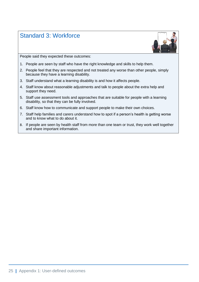### Standard 3: Workforce



People said they expected these outcomes:

- 1. People are seen by staff who have the right knowledge and skills to help them.
- 2. People feel that they are respected and not treated any worse than other people, simply because they have a learning disability.
- 3. Staff understand what a learning disability is and how it affects people.
- 4. Staff know about reasonable adjustments and talk to people about the extra help and support they need.
- 5. Staff use assessment tools and approaches that are suitable for people with a learning disability, so that they can be fully involved.
- 6. Staff know how to communicate and support people to make their own choices.
- 7. Staff help families and carers understand how to spot if a person's health is getting worse and to know what to do about it.
- 8. If people are seen by health staff from more than one team or trust, they work well together and share important information.